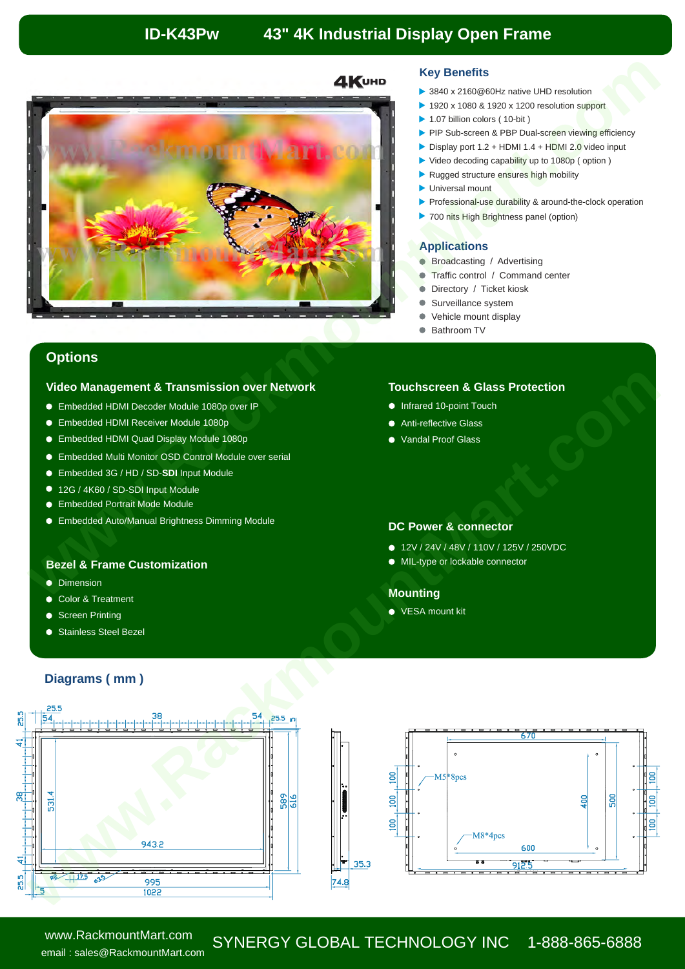# **ID-K43Pw 43" 4K Industrial Display Open Frame**



### **Key Benefits**

- 3840 x 2160@60Hz native UHD resolution
- 1920 x 1080 & 1920 x 1200 resolution support
- ▶ 1.07 billion colors (10-bit)
- PIP Sub-screen & PBP Dual-screen viewing efficiency
- Display port  $1.2 + HDMI$   $1.4 + HDMI$   $2.0$  video input
- ▶ Video decoding capability up to 1080p (option)
- Rugged structure ensures high mobility
- **D** Universal mount
- Professional-use durability & around-the-clock operation
- 700 nits High Brightness panel (option)

### **Applications**

- **Broadcasting / Advertising**
- Traffic control / Command center
- Directory / Ticket kiosk
- Surveillance system
- Vehicle mount display

**Touchscreen & Glass Protection**

● Bathroom TV

## **Options**

### **Video Management & Transmission over Network**

- Embedded HDMI Decoder Module 1080p over IP
- Embedded HDMI Receiver Module 1080p
- Embedded HDMI Quad Display Module 1080p
- Embedded Multi Monitor OSD Control Module over serial
- Embedded 3G / HD / SD-**SDI** Input Module
- 12G / 4K60 / SD-SDI Input Module
- Embedded Portrait Mode Module
- Embedded Auto/Manual Brightness Dimming Module

## **Bezel & Frame Customization**

- **•** Dimension
- Color & Treatment
- Screen Printing
- Stainless Steel Bezel

● Vandal Proof Glass

● Anti-reflective Glass **Infrared 10-point Touch** 

## **DC Power & connector**

- 12V / 24V / 48V / 110V / 125V / 250VDC
- 

## **Mounting**

● VESA mount kit

## **Diagrams ( mm )**



# SYNERGY GLOBAL TECHNOLOGY INC 1-888-865-6888